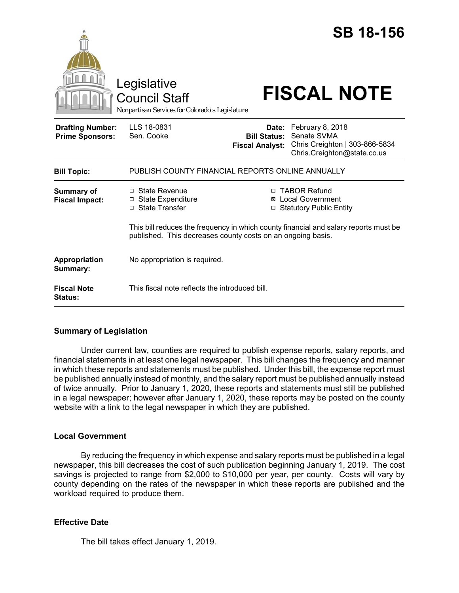|                                                   | Legislative<br><b>Council Staff</b><br>Nonpartisan Services for Colorado's Legislature                                                              |                                                        | <b>SB 18-156</b><br><b>FISCAL NOTE</b>                                                           |  |
|---------------------------------------------------|-----------------------------------------------------------------------------------------------------------------------------------------------------|--------------------------------------------------------|--------------------------------------------------------------------------------------------------|--|
| <b>Drafting Number:</b><br><b>Prime Sponsors:</b> | LLS 18-0831<br>Sen. Cooke                                                                                                                           | Date:<br><b>Bill Status:</b><br><b>Fiscal Analyst:</b> | February 8, 2018<br>Senate SVMA<br>Chris Creighton   303-866-5834<br>Chris.Creighton@state.co.us |  |
| <b>Bill Topic:</b>                                | PUBLISH COUNTY FINANCIAL REPORTS ONLINE ANNUALLY                                                                                                    |                                                        |                                                                                                  |  |
| <b>Summary of</b><br><b>Fiscal Impact:</b>        | $\Box$ State Revenue<br>□ State Expenditure<br>□ State Transfer                                                                                     |                                                        | □ TABOR Refund<br>⊠ Local Government<br><b>Statutory Public Entity</b>                           |  |
|                                                   | This bill reduces the frequency in which county financial and salary reports must be<br>published. This decreases county costs on an ongoing basis. |                                                        |                                                                                                  |  |
| Appropriation<br>Summary:                         | No appropriation is required.                                                                                                                       |                                                        |                                                                                                  |  |
| <b>Fiscal Note</b><br>Status:                     | This fiscal note reflects the introduced bill.                                                                                                      |                                                        |                                                                                                  |  |

## **Summary of Legislation**

Under current law, counties are required to publish expense reports, salary reports, and financial statements in at least one legal newspaper. This bill changes the frequency and manner in which these reports and statements must be published. Under this bill, the expense report must be published annually instead of monthly, and the salary report must be published annually instead of twice annually. Prior to January 1, 2020, these reports and statements must still be published in a legal newspaper; however after January 1, 2020, these reports may be posted on the county website with a link to the legal newspaper in which they are published.

## **Local Government**

By reducing the frequency in which expense and salary reports must be published in a legal newspaper, this bill decreases the cost of such publication beginning January 1, 2019. The cost savings is projected to range from \$2,000 to \$10,000 per year, per county. Costs will vary by county depending on the rates of the newspaper in which these reports are published and the workload required to produce them.

## **Effective Date**

The bill takes effect January 1, 2019.